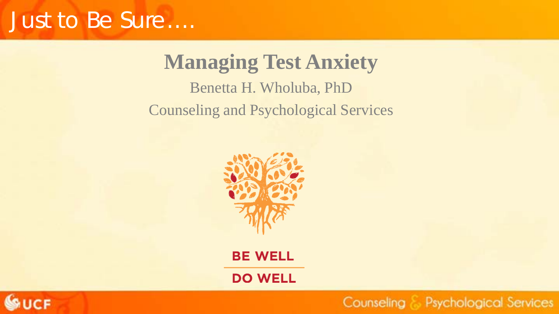### Just to Be Sure….

**Managing Test Anxiety** Benetta H. Wholuba, PhD Counseling and Psychological Services



**BE WELL** 

**DO WELL** 

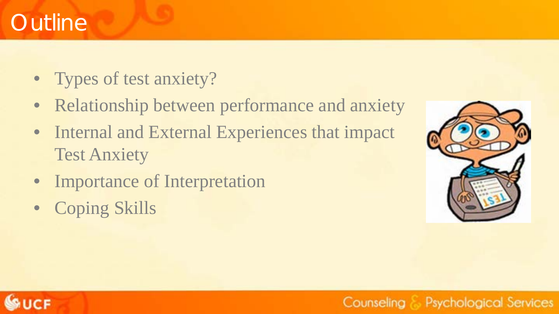### **Outline**

- Types of test anxiety?
- Relationship between performance and anxiety
- Internal and External Experiences that impact Test Anxiety
- Importance of Interpretation
- Coping Skills



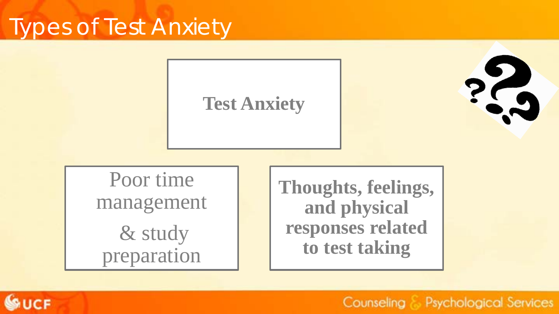### Types of Test Anxiety

### **Test Anxiety**

23

Poor time management & study preparation

**Thoughts, feelings, and physical responses related to test taking**

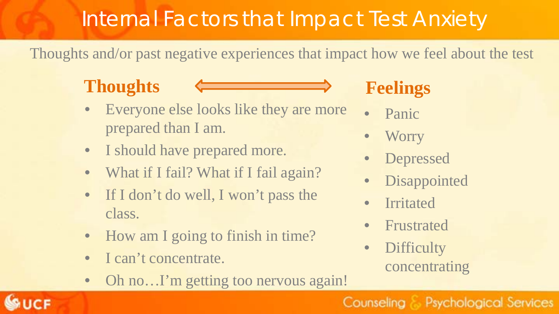### Internal Factors that Impact Test Anxiety

Thoughts and/or past negative experiences that impact how we feel about the test

### **Thoughts**



- Everyone else looks like they are more prepared than I am.
- I should have prepared more.
- What if I fail? What if I fail again?
- If I don't do well, I won't pass the class.
- How am I going to finish in time?
- I can't concentrate.
- Oh no... I'm getting too nervous again!

### **Feelings**

- Panic
- Worry
- **Depressed**
- **Disappointed**
- **Irritated**
- **Frustrated**
- Difficulty concentrating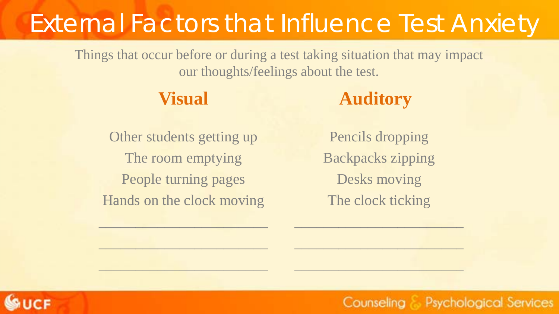## External Factors that Influence Test Anxiety

Things that occur before or during a test taking situation that may impact our thoughts/feelings about the test.

#### **Visual**

### **Auditory**

Other students getting up The room emptying People turning pages Hands on the clock moving

 $\mathcal{L}=\mathcal{L}=\mathcal{L}=\mathcal{L}=\mathcal{L}$ 

 $\frac{1}{2}$  ,  $\frac{1}{2}$  ,  $\frac{1}{2}$  ,  $\frac{1}{2}$  ,  $\frac{1}{2}$  ,  $\frac{1}{2}$  ,  $\frac{1}{2}$  ,  $\frac{1}{2}$  ,  $\frac{1}{2}$  ,  $\frac{1}{2}$  ,  $\frac{1}{2}$  ,  $\frac{1}{2}$  ,  $\frac{1}{2}$  ,  $\frac{1}{2}$  ,  $\frac{1}{2}$  ,  $\frac{1}{2}$  ,  $\frac{1}{2}$  ,  $\frac{1}{2}$  ,  $\frac{1$ 

 $\_$  ,  $\_$  ,  $\_$  ,  $\_$  ,  $\_$  ,  $\_$  ,  $\_$ 

Pencils dropping Backpacks zipping Desks moving The clock ticking

 $\overline{\phantom{a}}$  , and the set of the set of the set of the set of the set of the set of the set of the set of the set of the set of the set of the set of the set of the set of the set of the set of the set of the set of the s

\_\_\_\_\_\_\_\_\_\_\_\_\_\_\_\_\_\_\_\_\_\_\_

 $\mathcal{L}_\text{max}$  , we are the set of the set of the set of the set of the set of the set of the set of the set of

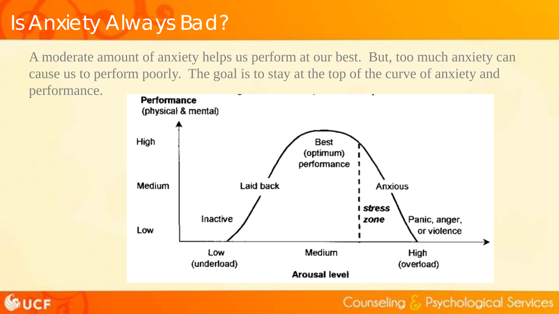### Is Anxiety Always Bad?

A moderate amount of anxiety helps us perform at our best. But, too much anxiety can cause us to perform poorly. The goal is to stay at the top of the curve of anxiety and performance.





Counseling & Psychological Services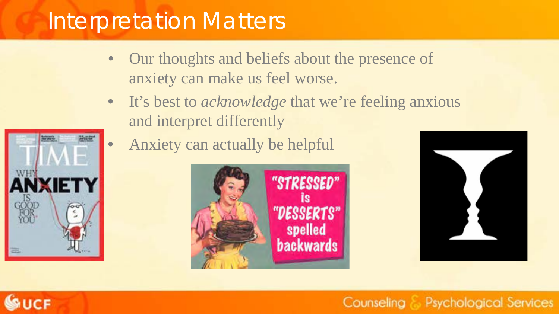### Interpretation Matters

- Our thoughts and beliefs about the presence of anxiety can make us feel worse.
- It's best to *acknowledge* that we're feeling anxious and interpret differently







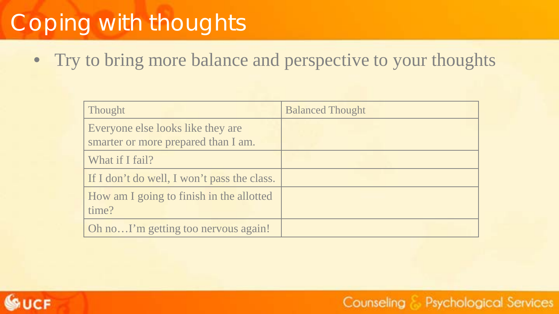## Coping with thoughts

• Try to bring more balance and perspective to your thoughts

| Thought                                     | <b>Balanced Thought</b> |
|---------------------------------------------|-------------------------|
| Everyone else looks like they are           |                         |
| smarter or more prepared than I am.         |                         |
| What if I fail?                             |                         |
| If I don't do well, I won't pass the class. |                         |
| How am I going to finish in the allotted    |                         |
| time?                                       |                         |
| Oh noI'm getting too nervous again!         |                         |

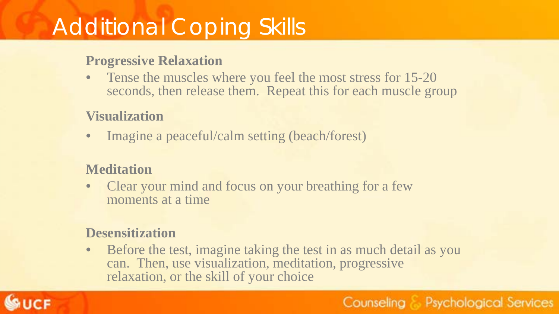### Additional Coping Skills

#### **Progressive Relaxation**

• Tense the muscles where you feel the most stress for 15-20 seconds, then release them. Repeat this for each muscle group

#### **Visualization**

• Imagine a peaceful/calm setting (beach/forest)

#### **Meditation**

• Clear your mind and focus on your breathing for a few moments at a time

#### **Desensitization**

• Before the test, imagine taking the test in as much detail as you can. Then, use visualization, meditation, progressive relaxation, or the skill of your choice

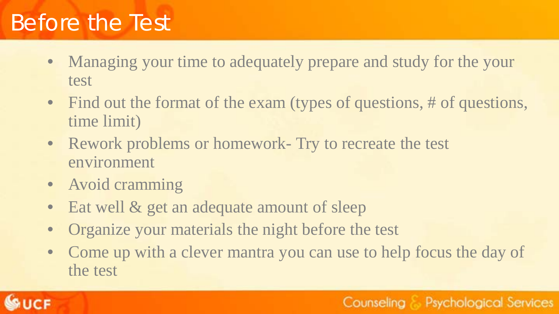### Before the Test

- Managing your time to adequately prepare and study for the your test
- Find out the format of the exam (types of questions, # of questions, time limit)
- Rework problems or homework- Try to recreate the test environment
- Avoid cramming
- Eat well & get an adequate amount of sleep
- Organize your materials the night before the test
- Come up with a clever mantra you can use to help focus the day of the test

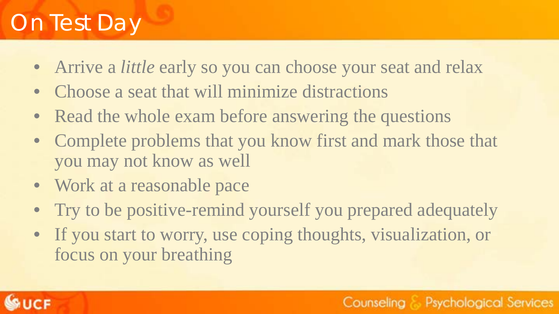### On Test Day

- Arrive a *little* early so you can choose your seat and relax
- Choose a seat that will minimize distractions
- Read the whole exam before answering the questions
- Complete problems that you know first and mark those that you may not know as well
- Work at a reasonable pace
- Try to be positive-remind yourself you prepared adequately
- If you start to worry, use coping thoughts, visualization, or focus on your breathing

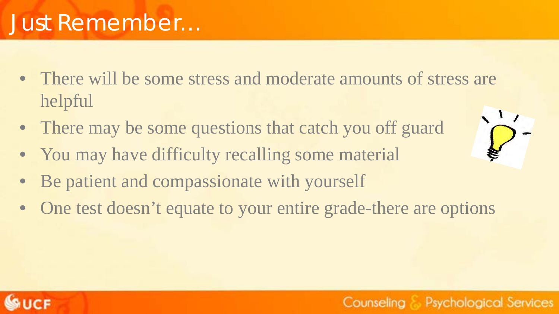

### Just Remember…

- There will be some stress and moderate amounts of stress are helpful
- There may be some questions that catch you off guard
- You may have difficulty recalling some material
- Be patient and compassionate with yourself
- One test doesn't equate to your entire grade-there are options



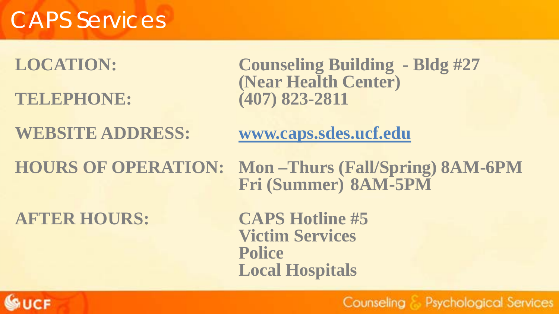### CAPS Services

**TELEPHONE: (407) 823-2811**

**LOCATION: Counseling Building - Bldg #27 (Near Health Center)** 

**WEBSITE ADDRESS: www.caps.sdes.ucf.edu**

**HOURS OF OPERATION: Mon –Thurs (Fall/Spring) 8AM-6PM Fri (Summer) 8AM-5PM**

**AFTER HOURS: CAPS Hotline #5**

**Victim Services Police Local Hospitals**

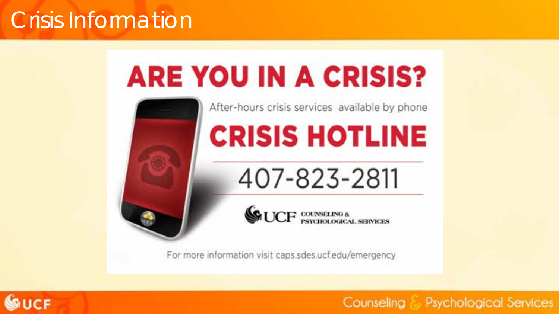### Crisis Information

# **ARE YOU IN A CRISIS?**



After-hours crisis services available by phone

# **CRISIS HOTLINE**

407-823-2811

**GUCF** COUNSELNG &

For more information visit caps.sdes.ucf.edu/emergency